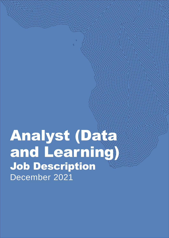# Analyst (Data and Learning) Job Description December 2021

1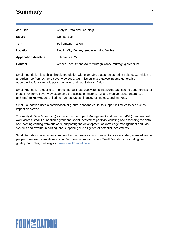# <sup>2</sup> **Summary**

| <b>Job Title</b>            | Analyst (Data and Learning)                                                           |
|-----------------------------|---------------------------------------------------------------------------------------|
| <b>Salary</b>               | Competitive                                                                           |
| Term                        | Full-time/permanent                                                                   |
| Location                    | Dublin, City Centre, remote working flexible                                          |
| <b>Application deadline</b> | 7 January 2022                                                                        |
| <b>Contact</b>              | Archer Recruitment: Aoife Murtagh <aoife.murtagh@archer.ie></aoife.murtagh@archer.ie> |

Small Foundation is a philanthropic foundation with charitable status registered in Ireland. Our vision is an Africa free from extreme poverty by 2030. Our mission is to catalyse income-generating opportunities for extremely poor people in rural sub-Saharan Africa.

Small Foundation's goal is to improve the business ecosystems that proliferate income opportunities for those in extreme poverty by expanding the access of micro, small and medium-sized enterprises (MSMEs) to knowledge, skilled human resources, finance, technology, and markets.

Small Foundation uses a combination of grants, debt and equity to support initiatives to achieve its impact objectives.

The Analyst (Data & Learning) will report to the Impact Management and Learning (IML) Lead and will work across Small Foundation's grant and social investment portfolio, collating and assessing the data and learning coming from our work, supporting the development of knowledge management and IMM systems and external reporting, and supporting due diligence of potential investments.

Small Foundation is a dynamic and evolving organisation and looking to hire dedicated, knowledgeable people to realise its ambitious vision. For more information about Small Foundation, including our guiding principles, please go to: [www.smallfoundation.ie](http://www.smallfoundation.ie/)

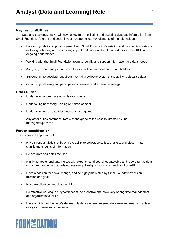#### Key responsibilities

The Data and Learning Analyst will have a key role in collating and updating data and information from Small Foundation's grant and social investment portfolio. Key elements of the role include:

- Supporting relationship management with Small Foundation's existing and prospective partners, including collecting and processing impact and financial data from partners to track KPIs and ongoing performance
- Working with the Small Foundation team to identify and support information and data needs
- Analysing, report and prepare data for external communication to stakeholders
- Supporting the development of our internal knowledge systems and ability to visualise data
- Organising, planning and participating in internal and external meetings

## Other Duties

- Undertaking appropriate administration tasks
- Undertaking necessary training and development
- Undertaking occasional trips overseas as required
- Any other duties commensurate with the grade of the post as directed by line manager/supervisor

#### Person specification

The successful applicant will:

- Have strong analytical skills with the ability to collect, organise, analyse, and disseminate significant amounts of information
- Be accurate and detail focused
- Highly computer and data literate with experience of sourcing, analysing and reporting raw data (structured and unstructured) into meaningful insights using tools such as PowerBI
- Have a passion for social change, and be highly motivated by Small Foundation's vision, mission and goal
- Have excellent communication skills
- Be effective working in a dynamic team, be proactive and have very strong time management and organisational skills
- Have a minimum Bachelor's degree (Master's degree preferred) in a relevant area, and at least one year of relevant experience